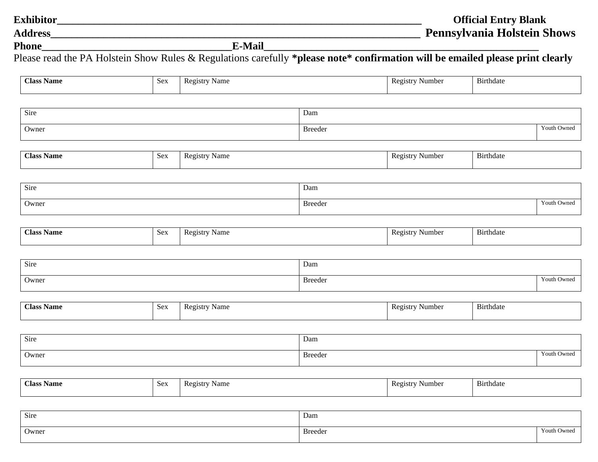| <b>Exhibitor</b> |        | <b>Official Entry Blank</b>        |
|------------------|--------|------------------------------------|
| <b>Address</b>   |        | <b>Pennsylvania Holstein Shows</b> |
| <b>Phone</b>     | E-Mail |                                    |

Please read the PA Holstein Show Rules & Regulations carefully **\*please note\* confirmation will be emailed please print clearly**

| ⌒<br>' lass. | <b>Name</b> | <b>Sex</b> | Registry<br>Nom.<br>машс<br>. | <b>Registry</b><br>Number | $\mathbf{r}$<br>Birthdate |
|--------------|-------------|------------|-------------------------------|---------------------------|---------------------------|
|              |             |            |                               |                           |                           |

| Sire  | Dam<br>the contract of the contract of the |                                       |
|-------|--------------------------------------------|---------------------------------------|
| Owner | Breeder                                    | $\gamma$ <sub>O</sub> uth (<br>' wned |

| Class <sub>1</sub><br><b>Name</b> | N AV<br>υUΛ | Name<br>$\text{eg}$ <sub>15</sub><br>nu<br>. . | $\sim$<br><b>Registry</b><br>Numbei | Birthdate |
|-----------------------------------|-------------|------------------------------------------------|-------------------------------------|-----------|
|                                   |             |                                                |                                     |           |

| Sire  | Dam          |                  |
|-------|--------------|------------------|
| Owner | Breeder<br>. | Youth C<br>Owned |

| <b>Class</b><br><b>Name</b> | Sex | Registry<br>Name | Ð<br><b>Registry</b><br>Number | Birthdate |
|-----------------------------|-----|------------------|--------------------------------|-----------|
|                             |     |                  |                                |           |

| Sire  | Dam     |             |
|-------|---------|-------------|
| Owner | Breeder | l<br>Y outh |

| <b>Class</b><br><b>Name</b><br>$\sim$ $\sim$<br>⊃∪∧ | Name<br>Registr | Registry<br>Number | $\sim$<br><b>B</b> uthdate |
|-----------------------------------------------------|-----------------|--------------------|----------------------------|
|-----------------------------------------------------|-----------------|--------------------|----------------------------|

| Sire  | Dam<br>the contract of the contract of the |                |
|-------|--------------------------------------------|----------------|
| Owner | <b>Breeder</b><br>.                        | ካ Owned<br>You |

| <b>Class</b><br>Name<br>$\sim$ $\alpha$ $\sim$<br><b>NVA</b> |  | Name<br>$'$ $\alpha$ $\alpha$ $\alpha$ $\gamma$<br>17C<br>⊏ եւ յե | D^<br><b>21Strv</b><br>Numbe<br>w | $\sim$<br>Burthdate |
|--------------------------------------------------------------|--|-------------------------------------------------------------------|-----------------------------------|---------------------|
|--------------------------------------------------------------|--|-------------------------------------------------------------------|-----------------------------------|---------------------|

| Sire  | Dam<br>the contract of the contract of the |         |
|-------|--------------------------------------------|---------|
| Owner | Breeder                                    | b Owned |